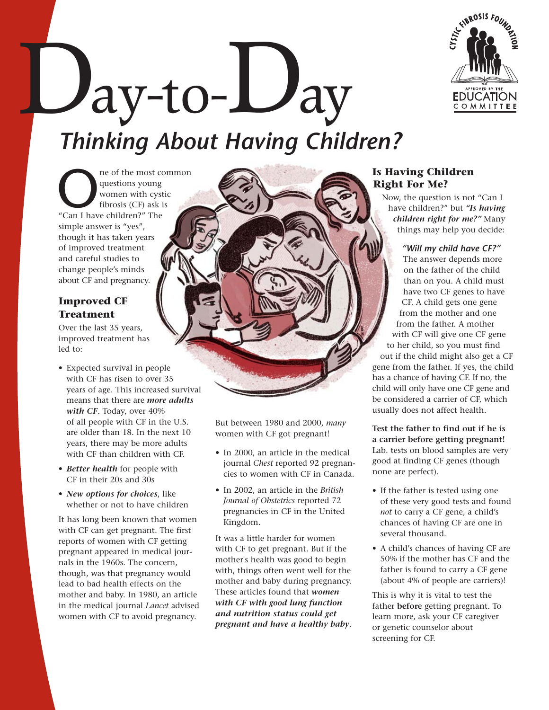

ay-to-Lay *Thinking About Having Children?* 

The of the most common<br>
questions young<br>
women with cystic<br>
"Can I have children?" The questions young women with cystic fibrosis (CF) ask is simple answer is "yes", though it has taken years of improved treatment and careful studies to change people's minds about CF and pregnancy.

# **Improved CF Treatment**

Over the last 35 years, improved treatment has led to:

- Expected survival in people with CF has risen to over 35 years of age. This increased survival means that there are *more adults with CF*. Today, over 40% of all people with CF in the U.S. are older than 18. In the next 10 years, there may be more adults with CF than children with CF.
- *Better health* for people with CF in their 20s and 30s
- *New options for choices*, like whether or not to have children

It has long been known that women with CF can get pregnant. The first reports of women with CF getting pregnant appeared in medical journals in the 1960s. The concern, though, was that pregnancy would lead to bad health effects on the mother and baby. In 1980, an article in the medical journal *Lancet* advised women with CF to avoid pregnancy.

But between 1980 and 2000, *many*  women with CF got pregnant!

- In 2000, an article in the medical journal *Chest* reported 92 pregnancies to women with CF in Canada.
- In 2002, an article in the *British Journal of Obstetrics* reported 72 pregnancies in CF in the United Kingdom.

It was a little harder for women with CF to get pregnant. But if the mother's health was good to begin with, things often went well for the mother and baby during pregnancy. These articles found that *women with CF with good lung function and nutrition status could get pregnant and have a healthy baby*.

# **Is Having Children Right For Me?**

Now, the question is not "Can I have children?" but *"Is having children right for me?"* Many things may help you decide:

*"Will my child have CF?"*  The answer depends more on the father of the child than on you. A child must have two CF genes to have CF. A child gets one gene from the mother and one from the father. A mother with CF will give one CF gene to her child, so you must find out if the child might also get a CF gene from the father. If yes, the child has a chance of having CF. If no, the child will only have one CF gene and be considered a carrier of CF, which usually does not affect health.

**Test the father to find out if he is a carrier before getting pregnant!**  Lab. tests on blood samples are very good at finding CF genes (though none are perfect).

- If the father is tested using one of these very good tests and found *not* to carry a CF gene, a child's chances of having CF are one in several thousand.
- A child's chances of having CF are 50% if the mother has CF and the father is found to carry a CF gene (about 4% of people are carriers)!

This is why it is vital to test the father **before** getting pregnant. To learn more, ask your CF caregiver or genetic counselor about screening for CF.